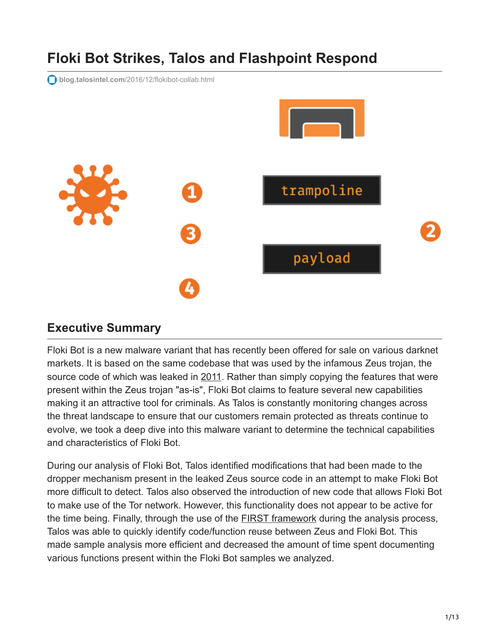# **Floki Bot Strikes, Talos and Flashpoint Respond**

**blog.talosintel.com**[/2016/12/flokibot-collab.html](http://blog.talosintel.com/2016/12/flokibot-collab.html#more)



#### **Executive Summary**

Floki Bot is a new malware variant that has recently been offered for sale on various darknet markets. It is based on the same codebase that was used by the infamous Zeus trojan, the source code of which was leaked in [2011.](https://github.com/Visgean/Zeus) Rather than simply copying the features that were present within the Zeus trojan "as-is", Floki Bot claims to feature several new capabilities making it an attractive tool for criminals. As Talos is constantly monitoring changes across the threat landscape to ensure that our customers remain protected as threats continue to evolve, we took a deep dive into this malware variant to determine the technical capabilities and characteristics of Floki Bot.

During our analysis of Floki Bot, Talos identified modifications that had been made to the dropper mechanism present in the leaked Zeus source code in an attempt to make Floki Bot more difficult to detect. Talos also observed the introduction of new code that allows Floki Bot to make use of the Tor network. However, this functionality does not appear to be active for the time being. Finally, through the use of the **FIRST** framework during the analysis process, Talos was able to quickly identify code/function reuse between Zeus and Floki Bot. This made sample analysis more efficient and decreased the amount of time spent documenting various functions present within the Floki Bot samples we analyzed.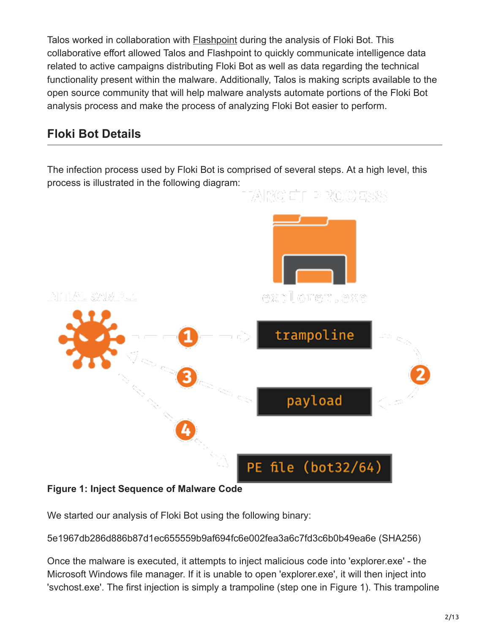Talos worked in collaboration with [Flashpoint](https://www.flashpoint-intel.com/) during the analysis of Floki Bot. This collaborative effort allowed Talos and Flashpoint to quickly communicate intelligence data related to active campaigns distributing Floki Bot as well as data regarding the technical functionality present within the malware. Additionally, Talos is making scripts available to the open source community that will help malware analysts automate portions of the Floki Bot analysis process and make the process of analyzing Floki Bot easier to perform.

# **Floki Bot Details**

The infection process used by Floki Bot is comprised of several steps. At a high level, this process is illustrated in the following diagram:



#### **Figure 1: Inject Sequence of Malware Code**

We started our analysis of Floki Bot using the following binary:

5e1967db286d886b87d1ec655559b9af694fc6e002fea3a6c7fd3c6b0b49ea6e (SHA256)

Once the malware is executed, it attempts to inject malicious code into 'explorer.exe' - the Microsoft Windows file manager. If it is unable to open 'explorer.exe', it will then inject into 'svchost.exe'. The first injection is simply a trampoline (step one in Figure 1). This trampoline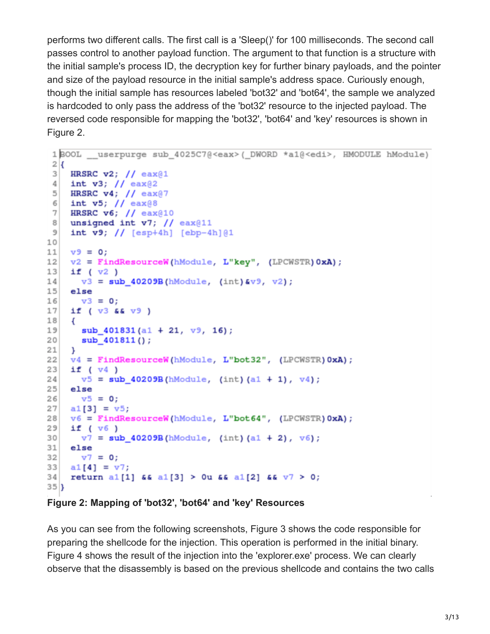performs two different calls. The first call is a 'Sleep()' for 100 milliseconds. The second call passes control to another payload function. The argument to that function is a structure with the initial sample's process ID, the decryption key for further binary payloads, and the pointer and size of the payload resource in the initial sample's address space. Curiously enough, though the initial sample has resources labeled 'bot32' and 'bot64', the sample we analyzed is hardcoded to only pass the address of the 'bot32' resource to the injected payload. The reversed code responsible for mapping the 'bot32', 'bot64' and 'key' resources is shown in Figure 2.

```
1BOOL __ userpurge_sub_4025C7@<eax>(_DWORD_*a1@<edi>, HMODULE_hModule)
 2\vert3<sup>1</sup>HRSRC v2; // eax@1
 \frac{4}{3}int v3; // eax@2
 5 HRSRC v4; // eax@7
    int v5; // eax@8
 6|7<sup>1</sup>HRSRC \mathbf{v6}; // eax@10
    unsigned int v7; // ear@118<sup>1</sup>\overline{9}int v9; // [esp+4h] [ebp-4h][01]1011v9 = 0v2 = FindResourceW(hModule, L"key", (LPCWSTR) 0xA);1213if (v2)v3 = sub_40209B(hModule, (int)8v9, v2);14
15else
16
     v3 = 0;17
    if (v3 66 v9)18
    \overline{A}19sub_401831(a1 + 21, \nabla9, 16);
20sub_401811();21
22v4 = FindResourceW(hModule, L"bot32", (LPCWSTR) 0xA);23if (v4)v5 = sub 40209B(hModule, (int)(a1 + 1), v4);
2425{\tt else}26v5 = 0;
27a1[3] = v5;v6 = FindResourceW(hModule, L"bot64", (LPCWSTR) 0xA);2829if (v6)30v7 = sub_40209B(hModule, (int)(a1 + 2), v6);
31else
     v7 = 0;3233a1[4] = v7;34
    return al[1] 66 al[3] > Ou 66 al[2] 66 v7 > 0;
35|
```
**Figure 2: Mapping of 'bot32', 'bot64' and 'key' Resources**

As you can see from the following screenshots, Figure 3 shows the code responsible for preparing the shellcode for the injection. This operation is performed in the initial binary. Figure 4 shows the result of the injection into the 'explorer.exe' process. We can clearly observe that the disassembly is based on the previous shellcode and contains the two calls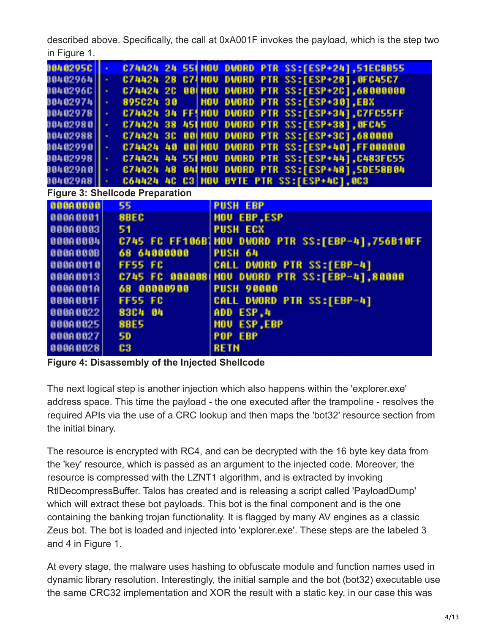described above. Specifically, the call at 0xA001F invokes the payload, which is the step two in Figure 1.

| 98482950                 | C74424<br>24<br><b>551 HOU</b><br><b>DWORD PTR SS:[ESP+24],51EC8B55</b>                 |
|--------------------------|-----------------------------------------------------------------------------------------|
| 00402964                 | C74HOU DWORD PTR SS:[ESP+28], OFC45C7<br>C74424<br>28<br>×                              |
| 8040296C                 | DWORD PTR SS:[ESP+2C],68000000<br>20<br><b>991 HOU</b><br>C74424<br>$\bullet$           |
| 804029741                | SS:[ESP+30],EBX<br><b>HOU</b><br><b>DWORD PTR</b><br>895024<br>-30<br>$\bullet$         |
| 80402978                 | DWORD PTR SS:[ESP+34],C7FC55FF<br><b>FF! HOU</b><br>C74424<br>34<br>$\alpha$            |
| 88482988                 | <b>DWORD</b><br>SS:[ESP+38], OFC45<br>38<br><b>451 MOU</b><br><b>PTR</b><br>C74424<br>× |
| 80402988                 | DWORD PTR SS:[ESP+3C],680000<br>30<br><b>991 HOU</b><br>C74424<br>×                     |
| 80402990                 | DWORD PTR SS:[ESP+40], FF000000<br>40<br><b>991 HOU</b><br>C74424<br>$\bullet$          |
| 00402998                 | DWORD PTR SS:[ESP+44], C483FC55<br>44<br><b>551 HOU</b><br>C74424<br>$\bullet$          |
| 804029A0  <mark> </mark> | DWORD PTR SS: [ESP+48], 5DE58B04<br><b>844 HOU</b><br>C74424<br>48<br>$\mathcal{A}$     |
| 804029A8   ·             | <b>C3 HOU</b><br><b>BYTE PTR SS:[ESP+4C],0C3</b><br>40<br>C64424                        |
|                          | <b>Figure 3: Shellcode Preparation</b>                                                  |
| 00000000                 | 55<br><b>PUSH EBP</b>                                                                   |
| 000A0001                 | 8BEC<br><b>MOU EBP,ESP</b>                                                              |
| 000A0003                 | 51<br><b>PUSH ECX</b>                                                                   |
| 000A0004                 | C745 FC FF106B1HOV DWORD PTR SS:[EBP-4],756B10FF                                        |
| 000A000B                 | <b>PUSH 64</b><br>64000000<br>68                                                        |
| 888A8818                 | <b>FF55 FC</b><br><b>CALL DWORD PTR SS:[EBP-4]</b>                                      |
| 000A0013                 | DWORD PTR SS:[EBP-4],80000<br><b>HOU</b><br>C745 FC 0000081                             |
| 000A001A                 | 00000900<br><b>PUSH 90000</b><br>68                                                     |
| 000A001F                 | <b>CALL DWORD PTR SS:[EBP-4]</b><br><b>FF55 FC</b>                                      |
| 000A0022                 | 83C4<br>ADD ESP.4<br>- 64                                                               |
| 00000025                 | <b>8BE5</b><br>ESP, EBP<br><b>MOU</b>                                                   |
| 00000027                 | <b>5D</b><br>POP EBP                                                                    |
| 000A0028                 | C <sub>3</sub><br><b>RETN</b>                                                           |
|                          |                                                                                         |

**Figure 4: Disassembly of the Injected Shellcode**

The next logical step is another injection which also happens within the 'explorer.exe' address space. This time the payload - the one executed after the trampoline - resolves the required APIs via the use of a CRC lookup and then maps the 'bot32' resource section from the initial binary.

The resource is encrypted with RC4, and can be decrypted with the 16 byte key data from the 'key' resource, which is passed as an argument to the injected code. Moreover, the resource is compressed with the LZNT1 algorithm, and is extracted by invoking RtlDecompressBuffer. Talos has created and is releasing a script called 'PayloadDump' which will extract these bot payloads. This bot is the final component and is the one containing the banking trojan functionality. It is flagged by many AV engines as a classic Zeus bot. The bot is loaded and injected into 'explorer.exe'. These steps are the labeled 3 and 4 in Figure 1.

At every stage, the malware uses hashing to obfuscate module and function names used in dynamic library resolution. Interestingly, the initial sample and the bot (bot32) executable use the same CRC32 implementation and XOR the result with a static key, in our case this was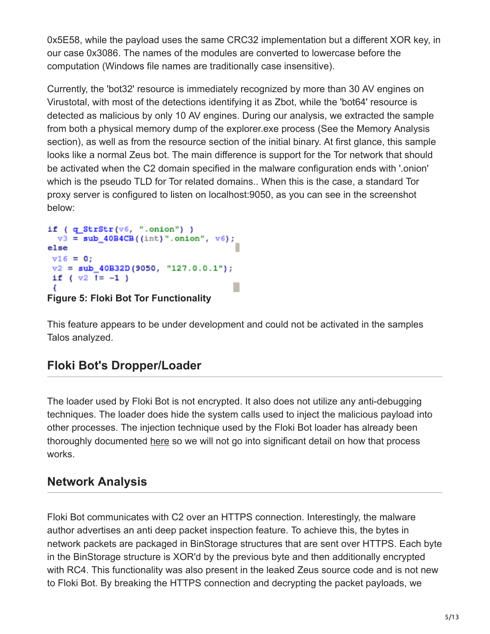0x5E58, while the payload uses the same CRC32 implementation but a different XOR key, in our case 0x3086. The names of the modules are converted to lowercase before the computation (Windows file names are traditionally case insensitive).

Currently, the 'bot32' resource is immediately recognized by more than 30 AV engines on Virustotal, with most of the detections identifying it as Zbot, while the 'bot64' resource is detected as malicious by only 10 AV engines. During our analysis, we extracted the sample from both a physical memory dump of the explorer.exe process (See the Memory Analysis section), as well as from the resource section of the initial binary. At first glance, this sample looks like a normal Zeus bot. The main difference is support for the Tor network that should be activated when the C2 domain specified in the malware configuration ends with '.onion' which is the pseudo TLD for Tor related domains.. When this is the case, a standard Tor proxy server is configured to listen on localhost:9050, as you can see in the screenshot below:

```
if (q_StrStr(v6, ".onion") )v3 = sub 40B4CB((int)".onion", v6;
else
v16 = 0;v2 = sub_40B32D(9050, "127.0.0.1");if (v2 = -1)
                                   Г
```
**Figure 5: Floki Bot Tor Functionality**

This feature appears to be under development and could not be activated in the samples Talos analyzed.

# **Floki Bot's Dropper/Loader**

The loader used by Floki Bot is not encrypted. It also does not utilize any anti-debugging techniques. The loader does hide the system calls used to inject the malicious payload into other processes. The injection technique used by the Floki Bot loader has already been thoroughly documented [here](https://blog.malwarebytes.com/threat-analysis/2016/11/floki-bot-and-the-stealthy-dropper/) so we will not go into significant detail on how that process works.

# **Network Analysis**

Floki Bot communicates with C2 over an HTTPS connection. Interestingly, the malware author advertises an anti deep packet inspection feature. To achieve this, the bytes in network packets are packaged in BinStorage structures that are sent over HTTPS. Each byte in the BinStorage structure is XOR'd by the previous byte and then additionally encrypted with RC4. This functionality was also present in the leaked Zeus source code and is not new to Floki Bot. By breaking the HTTPS connection and decrypting the packet payloads, we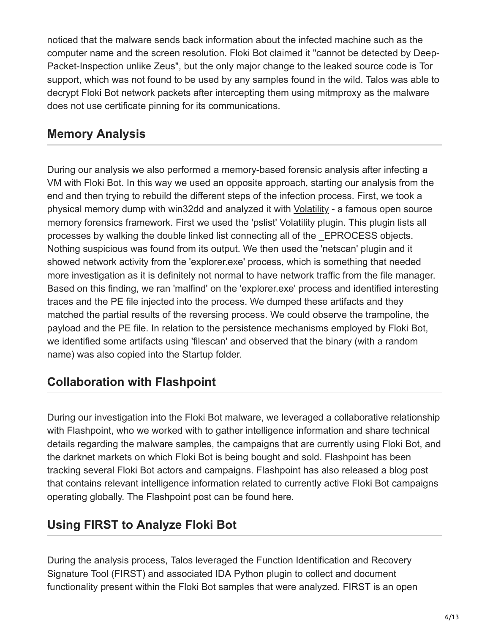noticed that the malware sends back information about the infected machine such as the computer name and the screen resolution. Floki Bot claimed it "cannot be detected by Deep-Packet-Inspection unlike Zeus", but the only major change to the leaked source code is Tor support, which was not found to be used by any samples found in the wild. Talos was able to decrypt Floki Bot network packets after intercepting them using mitmproxy as the malware does not use certificate pinning for its communications.

#### **Memory Analysis**

During our analysis we also performed a memory-based forensic analysis after infecting a VM with Floki Bot. In this way we used an opposite approach, starting our analysis from the end and then trying to rebuild the different steps of the infection process. First, we took a physical memory dump with win32dd and analyzed it with [Volatility](http://www.volatilityfoundation.org/) - a famous open source memory forensics framework. First we used the 'pslist' Volatility plugin. This plugin lists all processes by walking the double linked list connecting all of the \_EPROCESS objects. Nothing suspicious was found from its output. We then used the 'netscan' plugin and it showed network activity from the 'explorer.exe' process, which is something that needed more investigation as it is definitely not normal to have network traffic from the file manager. Based on this finding, we ran 'malfind' on the 'explorer.exe' process and identified interesting traces and the PE file injected into the process. We dumped these artifacts and they matched the partial results of the reversing process. We could observe the trampoline, the payload and the PE file. In relation to the persistence mechanisms employed by Floki Bot, we identified some artifacts using 'filescan' and observed that the binary (with a random name) was also copied into the Startup folder.

# **Collaboration with Flashpoint**

During our investigation into the Floki Bot malware, we leveraged a collaborative relationship with Flashpoint, who we worked with to gather intelligence information and share technical details regarding the malware samples, the campaigns that are currently using Floki Bot, and the darknet markets on which Floki Bot is being bought and sold. Flashpoint has been tracking several Floki Bot actors and campaigns. Flashpoint has also released a blog post that contains relevant intelligence information related to currently active Floki Bot campaigns operating globally. The Flashpoint post can be found [here](https://www.flashpoint-intel.com/flokibot-curious-case-brazilian-connector/).

# **Using FIRST to Analyze Floki Bot**

During the analysis process, Talos leveraged the Function Identification and Recovery Signature Tool (FIRST) and associated IDA Python plugin to collect and document functionality present within the Floki Bot samples that were analyzed. FIRST is an open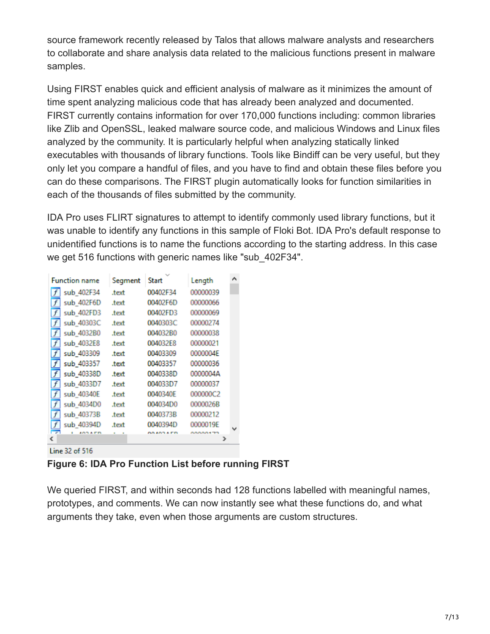source framework recently released by Talos that allows malware analysts and researchers to collaborate and share analysis data related to the malicious functions present in malware samples.

Using FIRST enables quick and efficient analysis of malware as it minimizes the amount of time spent analyzing malicious code that has already been analyzed and documented. FIRST currently contains information for over 170,000 functions including: common libraries like Zlib and OpenSSL, leaked malware source code, and malicious Windows and Linux files analyzed by the community. It is particularly helpful when analyzing statically linked executables with thousands of library functions. Tools like Bindiff can be very useful, but they only let you compare a handful of files, and you have to find and obtain these files before you can do these comparisons. The FIRST plugin automatically looks for function similarities in each of the thousands of files submitted by the community.

IDA Pro uses FLIRT signatures to attempt to identify commonly used library functions, but it was unable to identify any functions in this sample of Floki Bot. IDA Pro's default response to unidentified functions is to name the functions according to the starting address. In this case we get 516 functions with generic names like "sub\_402F34".

| <b>Function name</b> | Segment | Start     | Length         | ^ |
|----------------------|---------|-----------|----------------|---|
| sub_402F34           | .text   | 00402F34  | 00000039       |   |
| sub 402F6D           | .text   | 00402F6D  | 00000066       |   |
| sub 402FD3           | .text   | 00402FD3  | 00000069       |   |
| sub_40303C           | .text   | 0040303C  | 00000274       |   |
| sub_4032B0           | text    | 004032B0  | 00000038       |   |
| sub 4032E8           | .text   | 004032E8  | 00000021       |   |
| sub 403309           | text    | 00403309  | 0000004E       |   |
| sub 403357           | .text   | 00403357  | 00000036       |   |
| f<br>sub 40338D      | .text   | 0040338D  | 0000004A       |   |
| sub 4033D7<br>f      | .text   | 004033D7  | 00000037       |   |
| sub 40340E<br>f      | .text   | 0040340E  | 000000C2       |   |
| sub_4034D0           | .text   | 004034D0  | 0000026B       |   |
| sub 40373B           | .text   | 0040373B  | 00000212       |   |
| sub 40394D           | .text   | 0040394D  | 0000019E       |   |
| <b>INSAPR</b>        |         | 88.183.FR | <b>MAAA470</b> |   |
|                      |         |           |                |   |

Line 32 of 516

**Figure 6: IDA Pro Function List before running FIRST**

We queried FIRST, and within seconds had 128 functions labelled with meaningful names, prototypes, and comments. We can now instantly see what these functions do, and what arguments they take, even when those arguments are custom structures.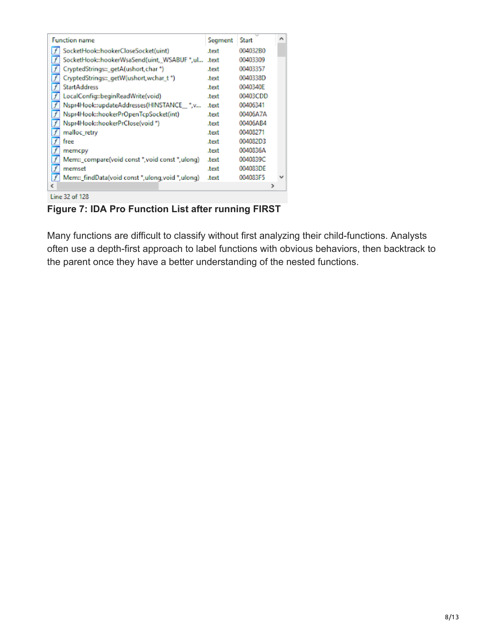| <b>Function name</b>                                  | Segment | <b>Start</b> |   | ́ |
|-------------------------------------------------------|---------|--------------|---|---|
| SocketHook::hookerCloseSocket(uint)                   | text    | 004032B0     |   |   |
| SocketHook::hookerWsaSend(uint, WSABUF *,ul           | text    | 00403309     |   |   |
| CryptedStrings::_getA(ushort,char *)                  | text    | 00403357     |   |   |
| CryptedStrings::_getW(ushort,wchar_t *)               | text    | 0040338D     |   |   |
| <b>StartAddress</b>                                   | text    | 0040340E     |   |   |
| F<br>LocalConfig::beginReadWrite(void)                | text    | 00403CDD     |   |   |
| Nspr4Hook::updateAddresses(HINSTANCE_*,v<br>f         | text    | 00406341     |   |   |
| f<br>Nspr4Hook::hookerPrOpenTcpSocket(int)            | text    | 00406A7A     |   |   |
| f<br>Nspr4Hook::hookerPrClose(void *)                 | text    | 00406AB4     |   |   |
| f<br>malloc retry                                     | text    | 00408271     |   |   |
| f<br>free                                             | text    | 004082D3     |   |   |
| f<br>memcpy                                           | text    | 0040836A     |   |   |
| f<br>Mem:: compare(void const *, void const *, ulong) | .text   | 0040839C     |   |   |
| f<br>memset                                           | text    | 004083DE     |   |   |
| Ē<br>Mem:: findData(void const *,ulong,void *,ulong)  | .text   | 004083F5     |   |   |
| €                                                     |         |              | ⋗ |   |
| Line 32 of 128                                        |         |              |   |   |

**Figure 7: IDA Pro Function List after running FIRST**

Many functions are difficult to classify without first analyzing their child-functions. Analysts often use a depth-first approach to label functions with obvious behaviors, then backtrack to the parent once they have a better understanding of the nested functions.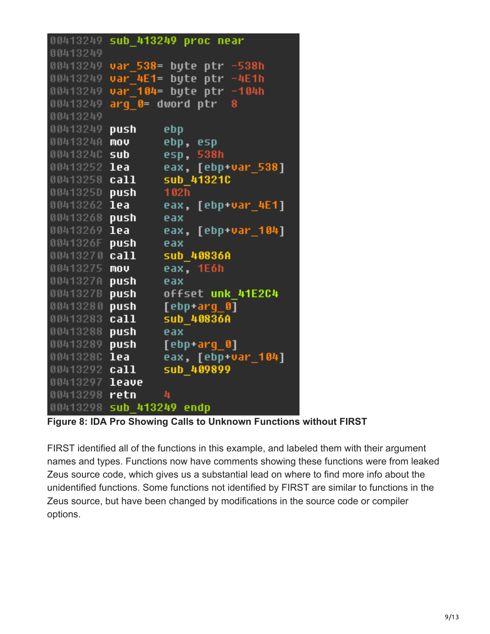| 00413249      |            | sub 413249 proc near    |
|---------------|------------|-------------------------|
| 00413249      |            |                         |
| 00413249      |            | var 538= byte ptr -538h |
| 00413249      | var 4E1=   | byte ptr -4E1h          |
| 00413249      | var 104=   | byte ptr -104h          |
| 00413249      |            | $arg$ 0= dword ptr<br>8 |
| 00413249      |            |                         |
| 00413249      | push       | ebp.                    |
| 0041324A      | mov        | ebp, esp                |
| 00413240      | sub        | esp, 538h               |
| 00413252      | lea        | eax, [ebp+var_538]      |
| 00413258      | call       | sub 413210              |
| 0041325D push |            | 102h                    |
| 00413262      | lea        | eax, [ebp+var_4E1]      |
| 00413268      | push       | eax                     |
| 00413269      | lea        | eax, [ebp+var_104]      |
| 0041326F      | push –     | eax                     |
| 00413270      | ca11       | sub 40836A              |
| 00413275      | mov        | eax, 1E6h               |
| 0041327A      | push.      | eax                     |
| 0041327B      | push i     | offset unk 41E2C4       |
| 00413280      | push –     | $[ebp+arg_0]$           |
| 00413283      | call       | sub 40836A              |
| 00413288      | push.      | eax                     |
| 00413289      | push i     | [ebp+arq 0]             |
| 00413280      | lea        | eax, [ebp+var_104]      |
| 00413292 call |            | sub 409899              |
| 00413297      | leave      |                         |
| 00413298      | retn       | 4                       |
| 00413298      | sub 413249 | endp                    |

**Figure 8: IDA Pro Showing Calls to Unknown Functions without FIRST**

FIRST identified all of the functions in this example, and labeled them with their argument names and types. Functions now have comments showing these functions were from leaked Zeus source code, which gives us a substantial lead on where to find more info about the unidentified functions. Some functions not identified by FIRST are similar to functions in the Zeus source, but have been changed by modifications in the source code or compiler options.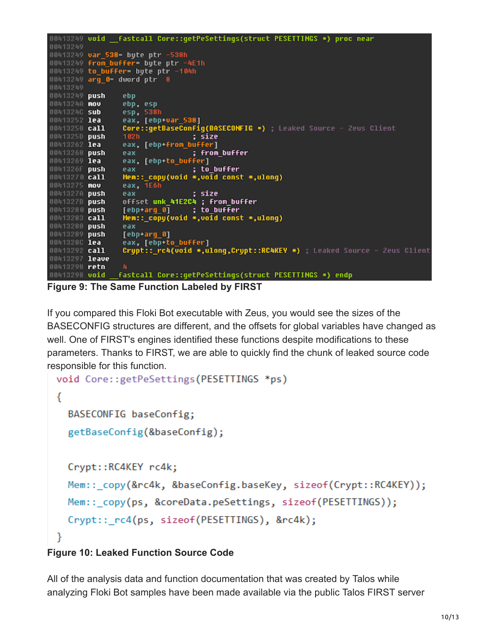```
00413249 void __fastcall Core::getPeSettings(struct PESETTINGS *) proc near
00413249
00413249 var_538= byte ptr -538h
00413249 from buffer= byte ptr -4E1h<br>00413249 to_buffer= byte ptr -104h
00413249 arg_0= dword ptr
00413249 push
                  ebp
0041324A nov
                  ebp, esp
                  esp. 538h
0041324C sub
                  eax, [ebp+var_538]<br>Core::getBaseConfig(BASECONFIG *) ; Leaked Source – Zeus Client
00413252 lea
00413258 call
                                   ; size
0041325D push
                  102h
                  eax, [ebp+from_buffer]
00413262 lea
                  eax
                                   ; from_buffer
00413268 push
00413269 lea
                  eax, [ebp+to_buffer]
0041326F push
                                   ; to_buffer
                  eax.
                  Mem::_copy(void *,void const *,ulong)
00413270 call
                  eax, 1E6h
00413275 mov
0041327A push
                                   ; size
                  eax
                  offset unk_41E2C4 ; from_buffer
0041327B push
00413280 push
                  [ebp+arg_0]; to_buffer
00413283 call
                  Mem::_copy(void *,void const *,ulong)
00413288 push
                  eax
00413289 push
                  [ebp+arg_0]
0041328C lea
                  eax, [ebp+to_buffer]
                  Crypt:: rc4(void *,ulong,Crypt::RC4KEY *) ; Leaked Source - Zeus Client
00413292 call
00413297 leave
00413298 retn
                _fastcall Core::getPeSettings(struct PESETTINGS *) endp
00413298 void
```
**Figure 9: The Same Function Labeled by FIRST**

If you compared this Floki Bot executable with Zeus, you would see the sizes of the BASECONFIG structures are different, and the offsets for global variables have changed as well. One of FIRST's engines identified these functions despite modifications to these parameters. Thanks to FIRST, we are able to quickly find the chunk of leaked source code responsible for this function.

```
void Core::getPeSettings(PESETTINGS *ps)
€
  BASECONFIG baseConfig;
  getBaseConfig(&baseConfig);
 Crypt::RC4KEY rc4k;
 Mem:: copy(&rc4k, &baseConfig.baseKey, sizeof(Crypt::RC4KEY));
 Mem:: copy(ps, &coreData.peSettings, sizeof(PESETTINGS));
  Crypt:: rc4(ps, sizeof(PESETTINGS), &rc4k);
ł
```
#### **Figure 10: Leaked Function Source Code**

All of the analysis data and function documentation that was created by Talos while analyzing Floki Bot samples have been made available via the public Talos FIRST server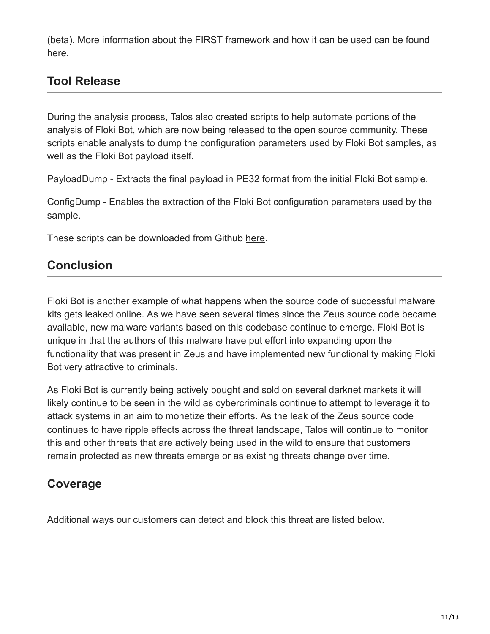(beta). More information about the FIRST framework and how it can be used can be found [here](http://blog.talosintel.com/2016/12/project-first-share-knowledge-speed-up.html).

#### **Tool Release**

During the analysis process, Talos also created scripts to help automate portions of the analysis of Floki Bot, which are now being released to the open source community. These scripts enable analysts to dump the configuration parameters used by Floki Bot samples, as well as the Floki Bot payload itself.

PayloadDump - Extracts the final payload in PE32 format from the initial Floki Bot sample.

ConfigDump - Enables the extraction of the Floki Bot configuration parameters used by the sample.

These scripts can be downloaded from Github [here.](https://github.com/vrtadmin/flokibot)

# **Conclusion**

Floki Bot is another example of what happens when the source code of successful malware kits gets leaked online. As we have seen several times since the Zeus source code became available, new malware variants based on this codebase continue to emerge. Floki Bot is unique in that the authors of this malware have put effort into expanding upon the functionality that was present in Zeus and have implemented new functionality making Floki Bot very attractive to criminals.

As Floki Bot is currently being actively bought and sold on several darknet markets it will likely continue to be seen in the wild as cybercriminals continue to attempt to leverage it to attack systems in an aim to monetize their efforts. As the leak of the Zeus source code continues to have ripple effects across the threat landscape, Talos will continue to monitor this and other threats that are actively being used in the wild to ensure that customers remain protected as new threats emerge or as existing threats change over time.

#### **Coverage**

Additional ways our customers can detect and block this threat are listed below.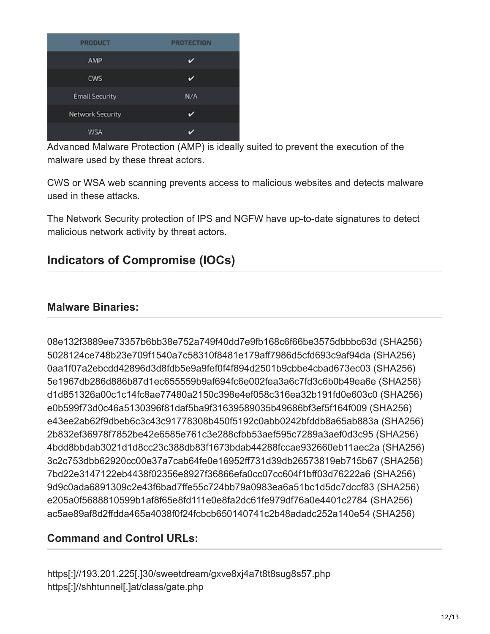| <b>PRODUCT</b>          | <b>PROTECTION</b> |
|-------------------------|-------------------|
| AMP                     |                   |
| <b>CWS</b>              |                   |
| <b>Email Security</b>   | N/A               |
| <b>Network Security</b> |                   |
| WSA                     |                   |

Advanced Malware Protection ([AMP\)](https://www.cisco.com/c/en/us/support/security/amp-firepower-software-license/tsd-products-support-series-home.html) is ideally suited to prevent the execution of the malware used by these threat actors.

[CWS](https://www.cisco.com/c/en/us/products/security/cloud-web-security/index.html) or [WSA](https://www.cisco.com/c/en/us/products/security/web-security-appliance/index.html) web scanning prevents access to malicious websites and detects malware used in these attacks.

The Network Security protection of [IPS](https://www.cisco.com/c/en/us/products/security/intrusion-prevention-system-ips/index.html) an[d NGFW](https://www.cisco.com/c/en/us/products/security/asa-next-generation-firewall-services/index.html) have up-to-date signatures to detect malicious network activity by threat actors.

# **Indicators of Compromise (IOCs)**

#### **Malware Binaries:**

08e132f3889ee73357b6bb38e752a749f40dd7e9fb168c6f66be3575dbbbc63d (SHA256) 5028124ce748b23e709f1540a7c58310f8481e179aff7986d5cfd693c9af94da (SHA256) 0aa1f07a2ebcdd42896d3d8fdb5e9a9fef0f4f894d2501b9cbbe4cbad673ec03 (SHA256) 5e1967db286d886b87d1ec655559b9af694fc6e002fea3a6c7fd3c6b0b49ea6e (SHA256) d1d851326a00c1c14fc8ae77480a2150c398e4ef058c316ea32b191fd0e603c0 (SHA256) e0b599f73d0c46a5130396f81daf5ba9f31639589035b49686bf3ef5f164f009 (SHA256) e43ee2ab62f9dbeb6c3c43c91778308b450f5192c0abb0242bfddb8a65ab883a (SHA256) 2b832ef36978f7852be42e6585e761c3e288cfbb53aef595c7289a3aef0d3c95 (SHA256) 4bdd8bbdab3021d1d8cc23c388db83f1673bdab44288fccae932660eb11aec2a (SHA256) 3c2c753dbb62920cc00e37a7cab64fe0e16952ff731d39db26573819eb715b67 (SHA256) 7bd22e3147122eb4438f02356e8927f36866efa0cc07cc604f1bff03d76222a6 (SHA256) 9d9c0ada6891309c2e43f6bad7ffe55c724bb79a0983ea6a51bc1d5dc7dccf83 (SHA256) e205a0f5688810599b1af8f65e8fd111e0e8fa2dc61fe979df76a0e4401c2784 (SHA256) ac5ae89af8d2ffdda465a4038f0f24fcbcb650140741c2b48adadc252a140e54 (SHA256)

#### **Command and Control URLs:**

https[:]//193.201.225[.]30/sweetdream/gxve8xj4a7t8t8sug8s57.php https[:]//shhtunnel[.]at/class/gate.php